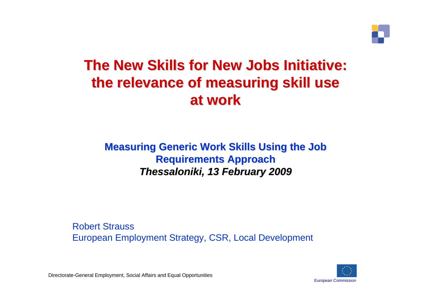

### **The New Skills for New Jobs Initiative: the relevance of the relevance of measuring measuring skilluse atwork**

#### **Measuring Generic Work Skills Using the Job Requirements Approach Requirements Approach** *Thessaloniki, 13 Thessaloniki, 13 February February 2009*

Robert StraussEuropean Employment Strategy, CSR, Local Development

European Commission

Directorate-General Employment, Social Affairs and Equal Opportunities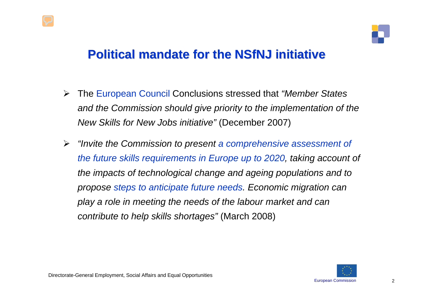

#### **Political mandate for the NSfNJ initiative**

- ¾ The European Council Conclusions stressed that *"Member States and the Commission should give priority to the implementation of the New Skills for New Jobs initiative"* (December 2007)
- $\blacktriangleright$  *"Invite the Commission to present a comprehensive assessment of the future skills requirements in Europe up to 2020, taking account of the impacts of technological change and ageing populations and to propose steps to anticipate future needs. Economic migration can play a role in meeting the needs of the labour market and can contribute to help skills shortages"* (March 2008)

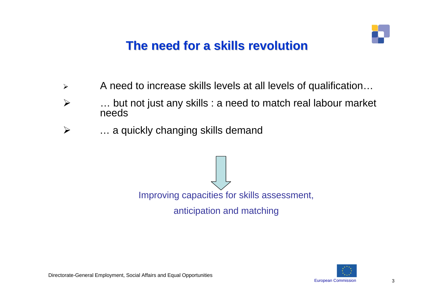

### **The need for a skills revolution The need for a skills revolution**

- $\blacktriangleright$ A need to increase skills levels at all levels of qualification…
- $\blacktriangleright$  … but not just any skills : a need to match real labour market needs
- $\blacktriangleright$ … a quickly changing skills demand



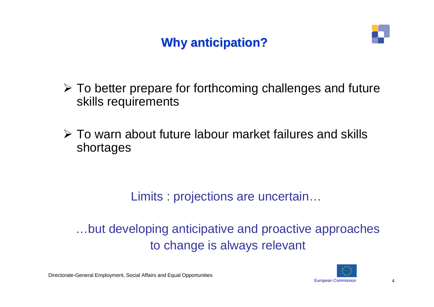### **Why anticipation?**



- ¾ To better prepare for forthcoming challenges and future skills requirements
- ¾ To warn about future labour market failures and skills shortages

Limits : projections are uncertain…

…but developing anticipative and proactive approaches to change is always relevant

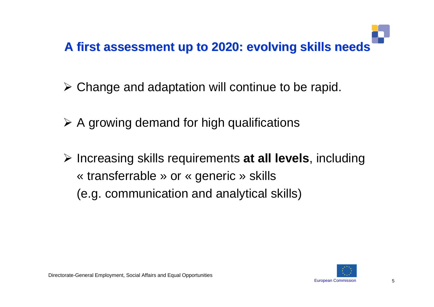## **A first A first assessment assessment up to 2020: up to 2020: evolving evolving skillsneeds**

- ¾ Change and adaptation will continue to be rapid.
- $\triangleright$  A growing demand for high qualifications
- ¾ Increasing skills requirements **at all levels**, including « transferrable » or « generic » skills (e.g. communication and analytical skills)

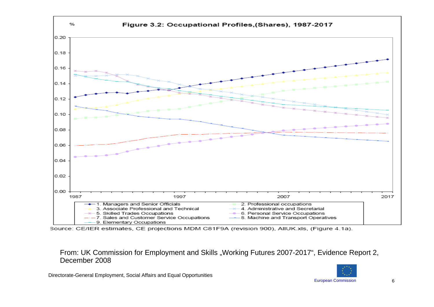

Source: CE/IER estimates, CE projections MDM C81F9A (revision 900), AIIUK.xls, (Figure 4.1a).

From: UK Commission for Employment and Skills "Working Futures 2007-2017", Evidence Report 2, December 2008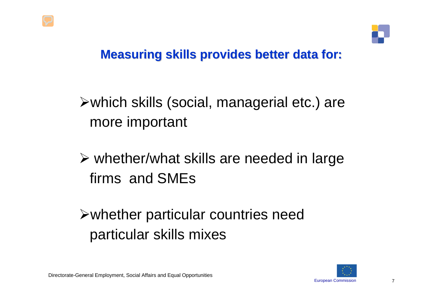

### **Measuring skills provides better data for:**

¾which skills (social, managerial etc.) are more important

¾ whether/what skills are needed in large firms and SMEs

¾whether particular countries need particular skills mixes

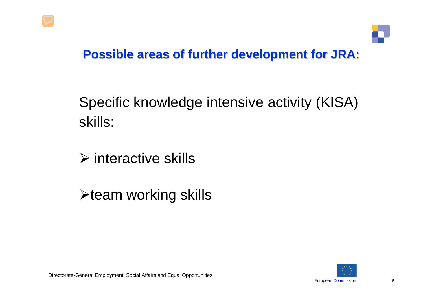

### **Possible areas of further development for JRA:**

### Specific knowledge intensive activity (KISA) skills:

 $\triangleright$  interactive skills

 $\triangleright$  team working skills